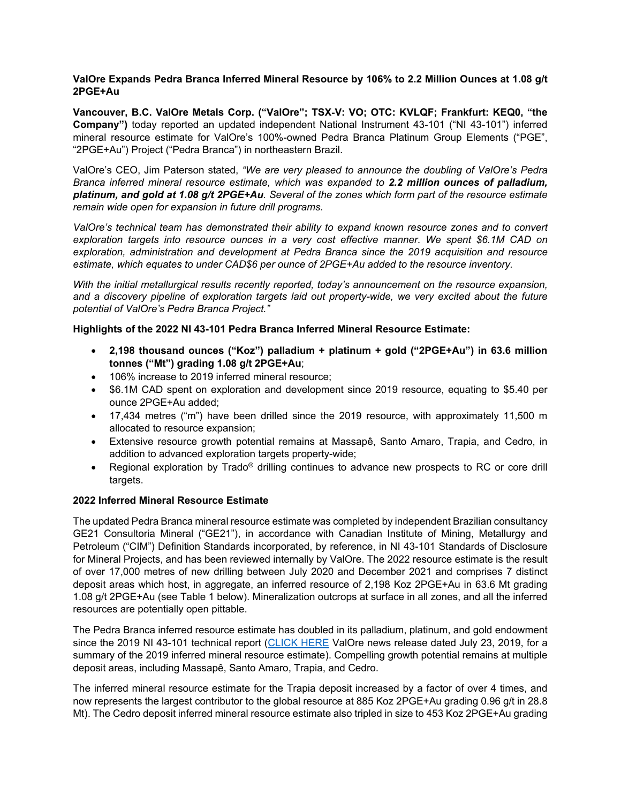## **ValOre Expands Pedra Branca Inferred Mineral Resource by 106% to 2.2 Million Ounces at 1.08 g/t 2PGE+Au**

**Vancouver, B.C. ValOre Metals Corp. ("ValOre"; TSX**‐**V: VO; OTC: KVLQF; Frankfurt: KEQ0, "the Company")** today reported an updated independent National Instrument 43-101 ("NI 43-101") inferred mineral resource estimate for ValOre's 100%-owned Pedra Branca Platinum Group Elements ("PGE", "2PGE+Au") Project ("Pedra Branca") in northeastern Brazil.

ValOre's CEO, Jim Paterson stated, *"We are very pleased to announce the doubling of ValOre's Pedra Branca inferred mineral resource estimate, which was expanded to 2.2 million ounces of palladium, platinum, and gold at 1.08 g/t 2PGE+Au. Several of the zones which form part of the resource estimate remain wide open for expansion in future drill programs.*

*ValOre's technical team has demonstrated their ability to expand known resource zones and to convert exploration targets into resource ounces in a very cost effective manner. We spent \$6.1M CAD on exploration, administration and development at Pedra Branca since the 2019 acquisition and resource estimate, which equates to under CAD\$6 per ounce of 2PGE+Au added to the resource inventory.*

*With the initial metallurgical results recently reported, today's announcement on the resource expansion, and a discovery pipeline of exploration targets laid out property-wide, we very excited about the future potential of ValOre's Pedra Branca Project."* 

# **Highlights of the 2022 NI 43-101 Pedra Branca Inferred Mineral Resource Estimate:**

- **2,198 thousand ounces ("Koz") palladium + platinum + gold ("2PGE+Au") in 63.6 million tonnes ("Mt") grading 1.08 g/t 2PGE+Au**;
- 106% increase to 2019 inferred mineral resource;
- \$6.1M CAD spent on exploration and development since 2019 resource, equating to \$5.40 per ounce 2PGE+Au added;
- 17,434 metres ("m") have been drilled since the 2019 resource, with approximately 11,500 m allocated to resource expansion;
- Extensive resource growth potential remains at Massapê, Santo Amaro, Trapia, and Cedro, in addition to advanced exploration targets property-wide;
- Regional exploration by Trado<sup>®</sup> drilling continues to advance new prospects to RC or core drill targets.

# **2022 Inferred Mineral Resource Estimate**

The updated Pedra Branca mineral resource estimate was completed by independent Brazilian consultancy GE21 Consultoria Mineral ("GE21"), in accordance with Canadian Institute of Mining, Metallurgy and Petroleum ("CIM") Definition Standards incorporated, by reference, in NI 43-101 Standards of Disclosure for Mineral Projects, and has been reviewed internally by ValOre. The 2022 resource estimate is the result of over 17,000 metres of new drilling between July 2020 and December 2021 and comprises 7 distinct deposit areas which host, in aggregate, an inferred resource of 2,198 Koz 2PGE+Au in 63.6 Mt grading 1.08 g/t 2PGE+Au (see Table 1 below). Mineralization outcrops at surface in all zones, and all the inferred resources are potentially open pittable.

The Pedra Branca inferred resource estimate has doubled in its palladium, platinum, and gold endowment since the 2019 NI 43-101 technical report [\(CLICK HERE](http://www.valoremetals.com/news-media/news-releases/2019/valore-files-technical-report-for-pedra-branca-pgm-project) ValOre news release dated July 23, 2019, for a summary of the 2019 inferred mineral resource estimate). Compelling growth potential remains at multiple deposit areas, including Massapê, Santo Amaro, Trapia, and Cedro.

The inferred mineral resource estimate for the Trapia deposit increased by a factor of over 4 times, and now represents the largest contributor to the global resource at 885 Koz 2PGE+Au grading 0.96 g/t in 28.8 Mt). The Cedro deposit inferred mineral resource estimate also tripled in size to 453 Koz 2PGE+Au grading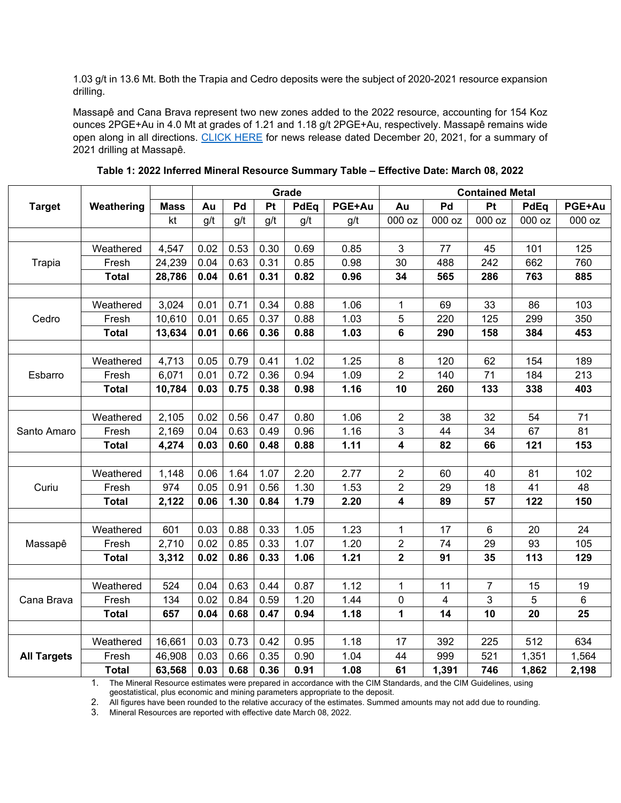1.03 g/t in 13.6 Mt. Both the Trapia and Cedro deposits were the subject of 2020-2021 resource expansion drilling.

Massapê and Cana Brava represent two new zones added to the 2022 resource, accounting for 154 Koz ounces 2PGE+Au in 4.0 Mt at grades of 1.21 and 1.18 g/t 2PGE+Au, respectively. Massapê remains wide open along in all directions. [CLICK HERE](http://www.valoremetals.com/news-media/news-releases/2021/valore-drills-21-m-at-167-gt-2pgeau-from-27-m-at-massap-and-22-m-at-140-gt-2pgeau-from-13-m-at-santo-amaro-south-pedra-branca) for news release dated December 20, 2021, for a summary of 2021 drilling at Massapê.

|                    |              |             | Grade |      |      |      | <b>Contained Metal</b> |                         |        |                |        |        |
|--------------------|--------------|-------------|-------|------|------|------|------------------------|-------------------------|--------|----------------|--------|--------|
| <b>Target</b>      | Weathering   | <b>Mass</b> | Au    | Pd   | Pt   | PdEq | PGE+Au                 | Au                      | Pd     | Pt             | PdEq   | PGE+Au |
|                    |              | kt          | g/t   | g/t  | g/t  | g/t  | g/t                    | 000 oz                  | 000 oz | 000 oz         | 000 oz | 000 oz |
|                    |              |             |       |      |      |      |                        |                         |        |                |        |        |
| <b>Trapia</b>      | Weathered    | 4,547       | 0.02  | 0.53 | 0.30 | 0.69 | 0.85                   | 3                       | 77     | 45             | 101    | 125    |
|                    | Fresh        | 24,239      | 0.04  | 0.63 | 0.31 | 0.85 | 0.98                   | 30                      | 488    | 242            | 662    | 760    |
|                    | <b>Total</b> | 28,786      | 0.04  | 0.61 | 0.31 | 0.82 | 0.96                   | 34                      | 565    | 286            | 763    | 885    |
|                    |              |             |       |      |      |      |                        |                         |        |                |        |        |
| Cedro              | Weathered    | 3,024       | 0.01  | 0.71 | 0.34 | 0.88 | 1.06                   | 1                       | 69     | 33             | 86     | 103    |
|                    | Fresh        | 10,610      | 0.01  | 0.65 | 0.37 | 0.88 | 1.03                   | 5                       | 220    | 125            | 299    | 350    |
|                    | <b>Total</b> | 13,634      | 0.01  | 0.66 | 0.36 | 0.88 | 1.03                   | 6                       | 290    | 158            | 384    | 453    |
|                    |              |             |       |      |      |      |                        |                         |        |                |        |        |
| Esbarro            | Weathered    | 4,713       | 0.05  | 0.79 | 0.41 | 1.02 | 1.25                   | $\bf 8$                 | 120    | 62             | 154    | 189    |
|                    | Fresh        | 6,071       | 0.01  | 0.72 | 0.36 | 0.94 | 1.09                   | $\overline{2}$          | 140    | 71             | 184    | 213    |
|                    | <b>Total</b> | 10,784      | 0.03  | 0.75 | 0.38 | 0.98 | 1.16                   | 10                      | 260    | 133            | 338    | 403    |
|                    |              |             |       |      |      |      |                        |                         |        |                |        |        |
| Santo Amaro        | Weathered    | 2,105       | 0.02  | 0.56 | 0.47 | 0.80 | 1.06                   | $\overline{c}$          | 38     | 32             | 54     | 71     |
|                    | Fresh        | 2,169       | 0.04  | 0.63 | 0.49 | 0.96 | 1.16                   | $\mathbf{3}$            | 44     | 34             | 67     | 81     |
|                    | <b>Total</b> | 4,274       | 0.03  | 0.60 | 0.48 | 0.88 | 1.11                   | $\overline{\mathbf{4}}$ | 82     | 66             | 121    | 153    |
|                    |              |             |       |      |      |      |                        |                         |        |                |        |        |
| Curiu              | Weathered    | 1,148       | 0.06  | 1.64 | 1.07 | 2.20 | 2.77                   | $\overline{c}$          | 60     | 40             | 81     | 102    |
|                    | Fresh        | 974         | 0.05  | 0.91 | 0.56 | 1.30 | 1.53                   | $\overline{2}$          | 29     | 18             | 41     | 48     |
|                    | <b>Total</b> | 2,122       | 0.06  | 1.30 | 0.84 | 1.79 | 2.20                   | $\overline{\mathbf{4}}$ | 89     | 57             | 122    | 150    |
|                    |              |             |       |      |      |      |                        |                         |        |                |        |        |
| Massapê            | Weathered    | 601         | 0.03  | 0.88 | 0.33 | 1.05 | 1.23                   | 1                       | 17     | 6              | 20     | 24     |
|                    | Fresh        | 2,710       | 0.02  | 0.85 | 0.33 | 1.07 | 1.20                   | $\overline{2}$          | 74     | 29             | 93     | 105    |
|                    | <b>Total</b> | 3,312       | 0.02  | 0.86 | 0.33 | 1.06 | 1.21                   | $\mathbf 2$             | 91     | 35             | 113    | 129    |
|                    |              |             |       |      |      |      |                        |                         |        |                |        |        |
| Cana Brava         | Weathered    | 524         | 0.04  | 0.63 | 0.44 | 0.87 | 1.12                   | $\mathbf{1}$            | 11     | $\overline{7}$ | 15     | 19     |
|                    | Fresh        | 134         | 0.02  | 0.84 | 0.59 | 1.20 | 1.44                   | 0                       | 4      | 3              | 5      | 6      |
|                    | <b>Total</b> | 657         | 0.04  | 0.68 | 0.47 | 0.94 | 1.18                   | 1                       | 14     | 10             | 20     | 25     |
|                    |              |             |       |      |      |      |                        |                         |        |                |        |        |
| <b>All Targets</b> | Weathered    | 16,661      | 0.03  | 0.73 | 0.42 | 0.95 | 1.18                   | 17                      | 392    | 225            | 512    | 634    |
|                    | Fresh        | 46,908      | 0.03  | 0.66 | 0.35 | 0.90 | 1.04                   | 44                      | 999    | 521            | 1,351  | 1,564  |
|                    | <b>Total</b> | 63,568      | 0.03  | 0.68 | 0.36 | 0.91 | 1.08                   | 61                      | 1,391  | 746            | 1,862  | 2,198  |

**Table 1: 2022 Inferred Mineral Resource Summary Table – Effective Date: March 08, 2022**

1. The Mineral Resource estimates were prepared in accordance with the CIM Standards, and the CIM Guidelines, using

geostatistical, plus economic and mining parameters appropriate to the deposit.

2. All figures have been rounded to the relative accuracy of the estimates. Summed amounts may not add due to rounding.

3. Mineral Resources are reported with effective date March 08, 2022.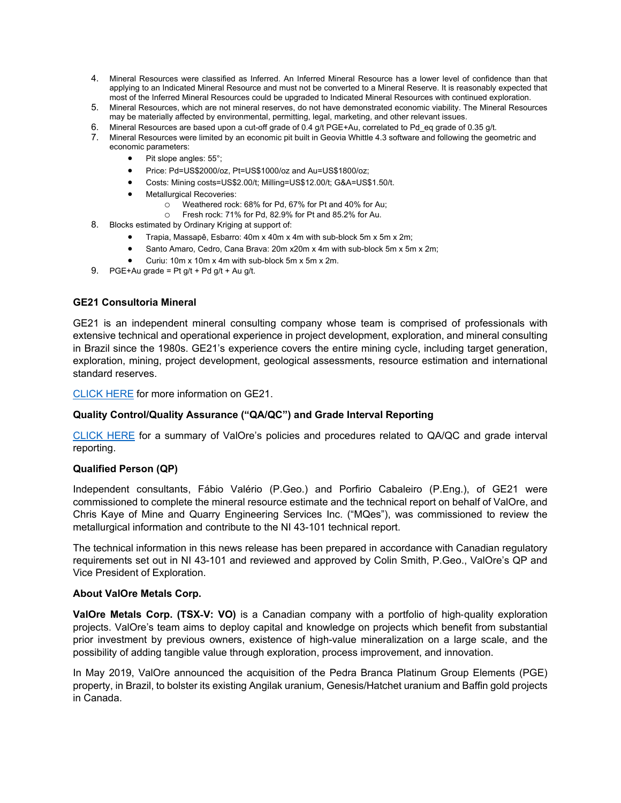- 4. Mineral Resources were classified as Inferred. An Inferred Mineral Resource has a lower level of confidence than that applying to an Indicated Mineral Resource and must not be converted to a Mineral Reserve. It is reasonably expected that most of the Inferred Mineral Resources could be upgraded to Indicated Mineral Resources with continued exploration.
- 5. Mineral Resources, which are not mineral reserves, do not have demonstrated economic viability. The Mineral Resources may be materially affected by environmental, permitting, legal, marketing, and other relevant issues.
- 6. Mineral Resources are based upon a cut-off grade of 0.4 g/t PGE+Au, correlated to Pd\_eq grade of 0.35 g/t.
- 7. Mineral Resources were limited by an economic pit built in Geovia Whittle 4.3 software and following the geometric and economic parameters:
	- Pit slope angles: 55°;
	- Price: Pd=US\$2000/oz, Pt=US\$1000/oz and Au=US\$1800/oz;
	- Costs: Mining costs=US\$2.00/t; Milling=US\$12.00/t; G&A=US\$1.50/t.
	- Metallurgical Recoveries:
		- o Weathered rock: 68% for Pd, 67% for Pt and 40% for Au;
		- o Fresh rock: 71% for Pd, 82.9% for Pt and 85.2% for Au.
- 8. Blocks estimated by Ordinary Kriging at support of:
	- Trapia, Massapê, Esbarro: 40m x 40m x 4m with sub-block 5m x 5m x 2m;
	- Santo Amaro, Cedro, Cana Brava: 20m x20m x 4m with sub-block 5m x 5m x 2m;
	- Curiu: 10m x 10m x 4m with sub-block 5m x 5m x 2m.
- 9. PGE+Au grade = Pt  $q/t$  + Pd  $q/t$  + Au  $q/t$ .

### **GE21 Consultoria Mineral**

GE21 is an independent mineral consulting company whose team is comprised of professionals with extensive technical and operational experience in project development, exploration, and mineral consulting in Brazil since the 1980s. GE21's experience covers the entire mining cycle, including target generation, exploration, mining, project development, geological assessments, resource estimation and international standard reserves.

[CLICK HERE](http://grupoge21.com.br/en/home-english/) for more information on GE21.

### **Quality Control/Quality Assurance ("QA/QC") and Grade Interval Reporting**

[CLICK HERE](http://valoremetals.com/news-media/news-releases/2020/valore-announces-initial-drill-results-from-pedra-branca-including-10-gt-2pgeau-over-528-metres-from-surface) for a summary of ValOre's policies and procedures related to QA/QC and grade interval reporting.

### **Qualified Person (QP)**

Independent consultants, Fábio Valério (P.Geo.) and Porfirio Cabaleiro (P.Eng.), of GE21 were commissioned to complete the mineral resource estimate and the technical report on behalf of ValOre, and Chris Kaye of Mine and Quarry Engineering Services Inc. ("MQes"), was commissioned to review the metallurgical information and contribute to the NI 43-101 technical report.

The technical information in this news release has been prepared in accordance with Canadian regulatory requirements set out in NI 43-101 and reviewed and approved by Colin Smith, P.Geo., ValOre's QP and Vice President of Exploration.

### **About ValOre Metals Corp.**

**ValOre Metals Corp. (TSX**‐**V: VO)** is a Canadian company with a portfolio of high‐quality exploration projects. ValOre's team aims to deploy capital and knowledge on projects which benefit from substantial prior investment by previous owners, existence of high-value mineralization on a large scale, and the possibility of adding tangible value through exploration, process improvement, and innovation.

In May 2019, ValOre announced the acquisition of the Pedra Branca Platinum Group Elements (PGE) property, in Brazil, to bolster its existing Angilak uranium, Genesis/Hatchet uranium and Baffin gold projects in Canada.